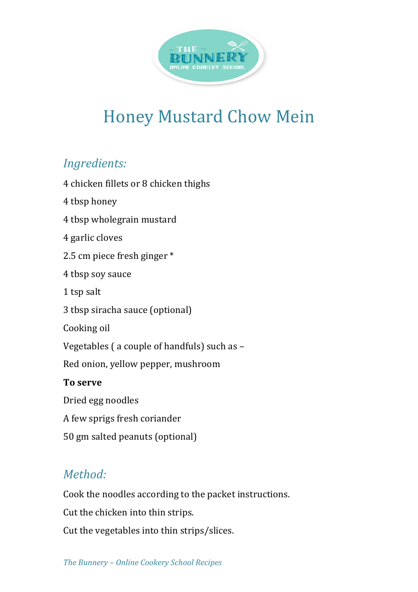

## **Honey Mustard Chow Mein**

## *Ingredients:*

4 chicken fillets or 8 chicken thighs 4 tbsp honey 4 tbsp wholegrain mustard 4 garlic cloves 2.5 cm piece fresh ginger \* 4 tbsp soy sauce 1 tsp salt 3 tbsp siracha sauce (optional) Cooking oil Vegetables ( a couple of handfuls) such as -Red onion, yellow pepper, mushroom **To serve** Dried egg noodles A few sprigs fresh coriander 50 gm salted peanuts (optional)

## *Method:*

Cook the noodles according to the packet instructions.

Cut the chicken into thin strips.

Cut the vegetables into thin strips/slices.